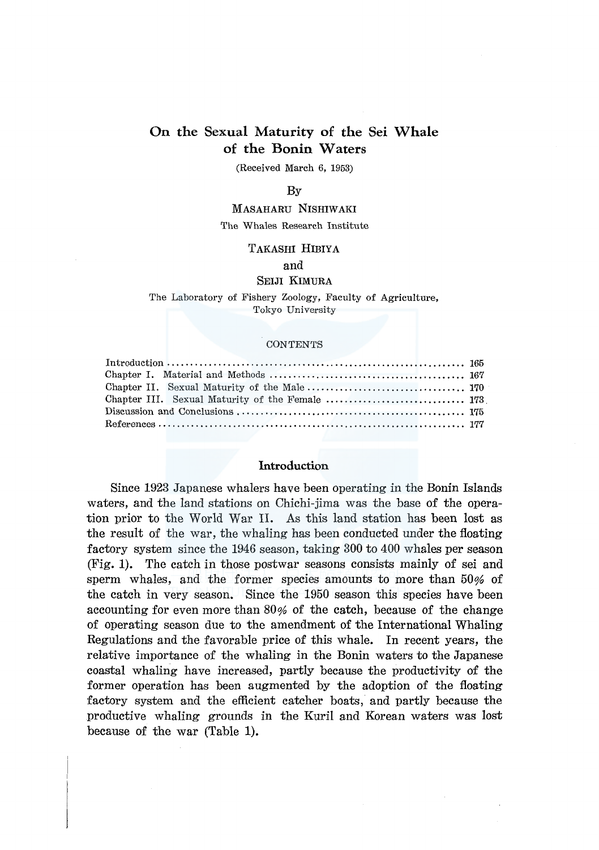# **On the Sexual Maturity of the Sei Whale of the Bonin Waters**

(Received March 6, 1953)

#### By

# MASAHARU NISHIWAKI

#### The Whales Research Institute

# TAKASHI HIBIYA

#### and

## SEIJI KIMURA

#### The Laboratory of Fishery Zoology, Faculty of Agriculture, Tokyo University

#### **CONTENTS**

# **Introduction**

Since 1923 Japanese whalers have been operating in the Bonin Islands waters, and the land stations on Chichi-jima was the base of the operation prior to the World War II. As this land station has been lost as the result of the war, the whaling has been conducted under the floating factory system since the 1946 season, taking 300 to 400 whales per season (Fig. **1).** The catch in those postwar seasons consists mainly of sei and sperm whales, and the former species amounts to more than 50% of the catch in very season. Since the 1950 season this species have been accounting for even more than 80% of the catch, because of the change of operating season due to the amendment of the International Whaling Regulations and the favorable price of this whale. In recent years, the relative importance of the whaling in the Bonin waters to the Japanese coastal whaling have increased, partly because the productivity of the former operation has been augmented by the adoption of the floating factory system and the efficient catcher boats, and partly because the productive whaling grounds in the Kuril and Korean waters was lost because of the war (Table 1).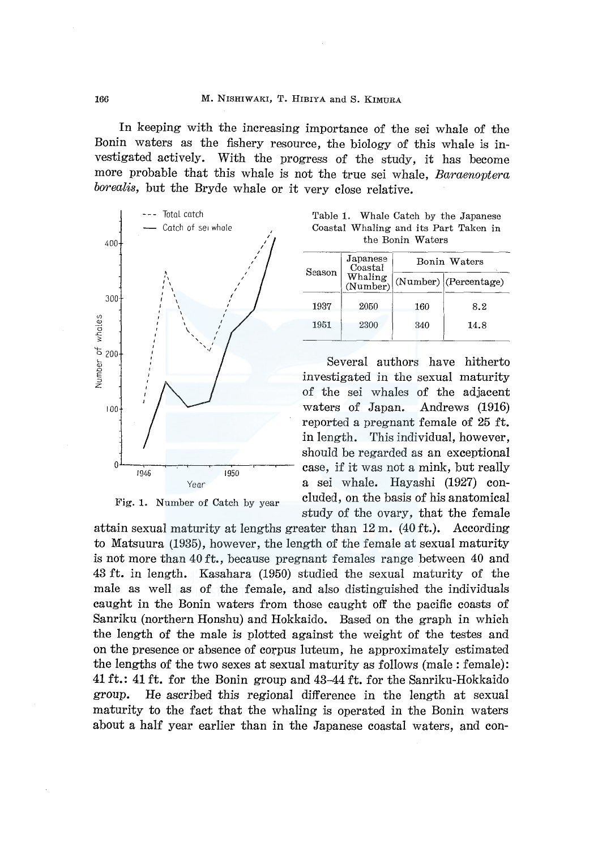In keeping with the increasing importance of the sei whale of the Bonin waters as the fishery resource, the biology of this whale is investigated actively. With the progress of the study, it has become more probable that this whale is not the true sei whale, *Baraenoptera borealis,* but the Bryde whale or it very close relative.



Fig. 1. Number of Catch by year

Table 1. Whale Catch by the Japanese Coastal Whaling and its Part Taken in the Bonin Waters

| Season | Japanese<br>Coastal<br>Whaling<br>(Number) | Bonin Waters |                         |  |
|--------|--------------------------------------------|--------------|-------------------------|--|
|        |                                            |              | $(Number)$ (Percentage) |  |
| 1937   | 2050                                       | 160          | 8.2                     |  |
| 1951   | 2300                                       | 340          | 14.8                    |  |

Several authors have hitherto investigated in the sexual maturity of the sei whales of the adjacent waters of Japan. Andrews (1916) reported a pregnant female of 25 ft. in length. This individual, however, should be regarded as an exceptional case, if it was not a mink, but really a sei whale. Hayashi (1927) concluded, on the basis of his anatomical study of the ovary, that the female

attain sexual maturity at lengths greater than  $12 \text{ m}$ . (40 ft.). According to Matsuura (1935), however, the length of the female at sexual maturity is not more than 40 ft., because pregnant females range between 40 and 43 ft. in length. Kasahara (1950) studied the sexual maturity of the male as well as of the female, and also distinguished the individuals caught in the Bonin waters from those caught off the pacific coasts of Sanriku (northern Honshu) and Hokkaido. Based on the graph in which the length of the male is plotted against the weight of the testes and on the presence or absence of corpus luteum, he approximately estimated the lengths of the two sexes at sexual maturity as follows (male: female): 41 ft.: 41 ft. for the Bonin group and 43-44 ft. for the Sanriku-Hokkaido group. He ascribed this regional difference in the length at sexual maturity to the fact that the whaling is operated in the Bonin waters about a half year earlier than in the Japanese coastal waters, and con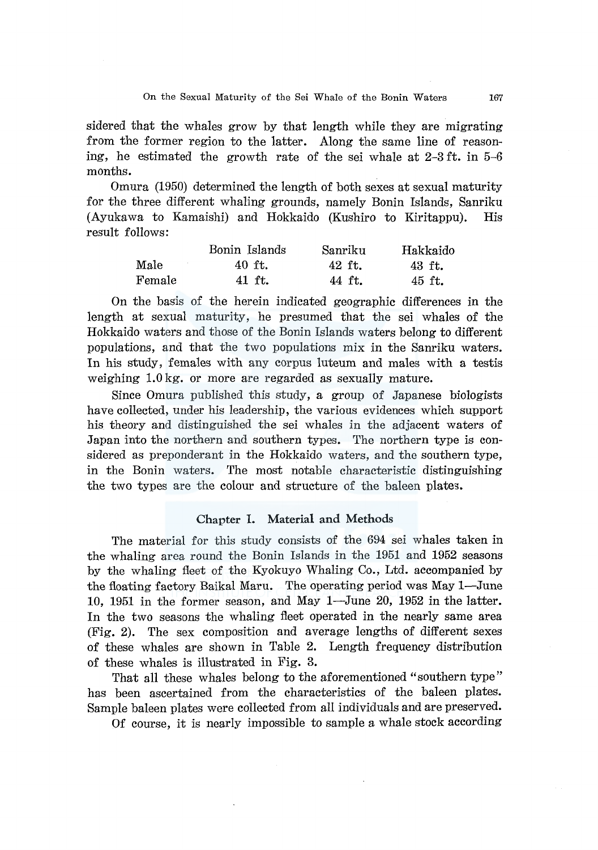sidered that the whales grow by that length while they are migrating from the former region to the latter. Along the same line of reasoning, he estimated the growth rate of the sei whale at 2-3 ft. in 5-6 months.

Omura (1950) determined the length of both sexes at sexual maturity for the three different whaling grounds, namely Bonin Islands, Sanriku (Ayukawa to Kamaishi) and Hokkaido (Kushiro to Kiritappu). His result follows:

|              | Bonin Islands | Sanriku | Hakkaido |
|--------------|---------------|---------|----------|
| Male         | 40 ft.        | 42 ft.  | 43 ft.   |
| $\rm Female$ | 41 ft.        | 44 ft.  | 45 ft.   |

On the basis of the herein indicated geographic differences in the length at sexual maturity, he presumed that the sei whales of the Hokkaido waters and those of the Bonin Islands waters belong to different populations, and that the two populations mix in the Sanriku waters. In his study, females with any corpus luteum and males with a testis weighing 1.0 kg. or more are regarded as sexually mature.

Since Omura published this study, a group of Japanese biologists have collected, under his leadership, the various evidences which support his theory and distinguished the sei whales in the adjacent waters of Japan into the northern and southern types. The northern type is considered as preponderant in the Hokkaido waters, and the southern type, in the Bonin waters. The most notable characteristic distinguishing the two types are the colour and structure of the baleen plates.

## **Chapter I. Material and Methods**

The material for this study consists of the 694 sei whales taken in the whaling area round the Bonin Islands in the 1951 and 1952 seasons by the whaling fleet of the Kyokuyo Whaling Co., Ltd. accompanied by the floating factory Baikal Maru. The operating period was May 1-June 10, 1951 in the former season, and May 1-June 20, 1952 in the latter. In the two seasons the whaling fleet operated in the nearly same area (Fig. 2). The sex composition and average lengths of different sexes of these whales are shown in Table 2. Length frequency distribution of these whales is illustrated in Fig. 3.

That all these whales belong to the aforementioned "southern type" has been ascertained from the characteristics of the baleen plates. Sample baleen plates were collected from all individuals and are preserved.

Of course, it is nearly impossible to sample a whale stock according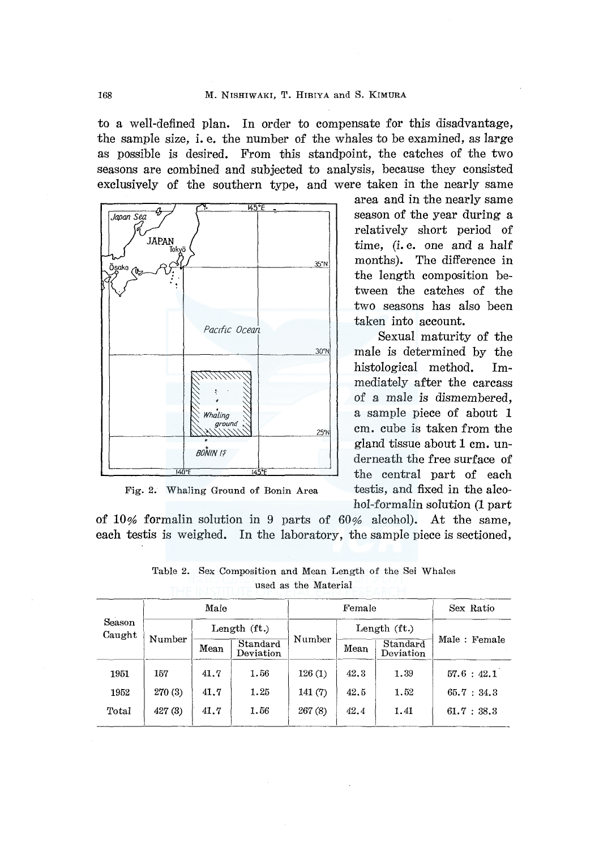to a well-defined plan. In order to compensate for this disadvantage, the sample size, i. e. the number of the whales to be examined, as large as possible is desired. From this standpoint, the catches of the two seasons are combined and subjected to analysis, because they consisted exclusively of the southern type, and were taken in the nearly same



Fig. 2. Whaling Ground of Bonin Area

area and in the nearly same season of the year during a relatively short period of time, *(i.e.* one and a half months). The difference in the length composition between the catches of the two seasons has also been taken into account.

Sexual maturity of the male is determined by the histological method. Immediately after the carcass of a male is dismembered, a sample piece of about 1 cm. cube is taken from the gland tissue about 1 cm. underneath the free surface of the central part of each testis, and fixed in the alcohol-formalin solution (1 part

of 10% formalin solution in 9 parts of 60% alcohol). At the same, each testis is weighed. In the laboratory, the sample piece is sectioned,

|                  | Male    |               | Female                |         |      | Sex Ratio             |              |
|------------------|---------|---------------|-----------------------|---------|------|-----------------------|--------------|
| Season<br>Caught |         | Length $(ft)$ |                       |         |      | Length $(ft)$         |              |
|                  | Number  | Mean          | Standard<br>Deviation | Number  | Mean | Standard<br>Deviation | Male: Female |
| 1951             | 157     | 41.7          | 1.56                  | 126(1)  | 42.3 | 1.39                  | 57.6 : 42.1  |
| 1952             | 270 (3) | 41.7          | 1.25                  | 141(7)  | 42.5 | 1.52                  | 65.7 : 34.3  |
| Total            | 427(3)  | 41.7          | 1.56                  | 267 (8) | 42.4 | 1.41                  | 61.7 : 38.3  |

Table 2. Sex Composition and Mean Length of the Sei Whales used as the Material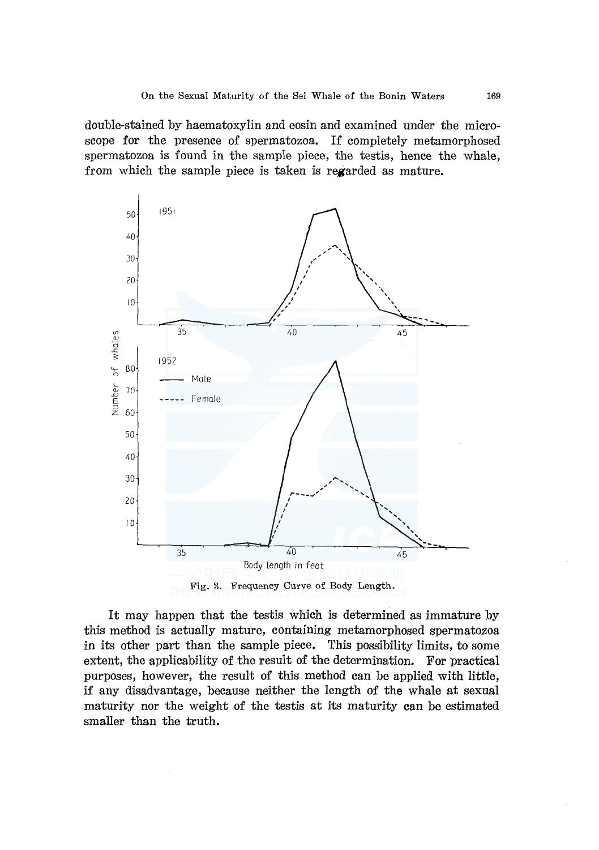double-stained by haematoxylin and eosin and examined under the microscope for the presence of spermatozoa. If completely metamorphosed spermatozoa is found in the sample piece, the testis, hence the whale, from which the sample piece is taken is regarded as mature.





It may happen that the testis which is determined as immature by this method is actually mature, containing metamorphosed spermatozoa in its other part than the sample piece. This possibility limits, to some extent, the applicability of the result of the determination. For practical purposes, however, the result of this method can be applied with little, if any disadvantage, because neither the length of the whale at sexual maturity nor the weight of the testis at its maturity can be estimated smaller than the truth.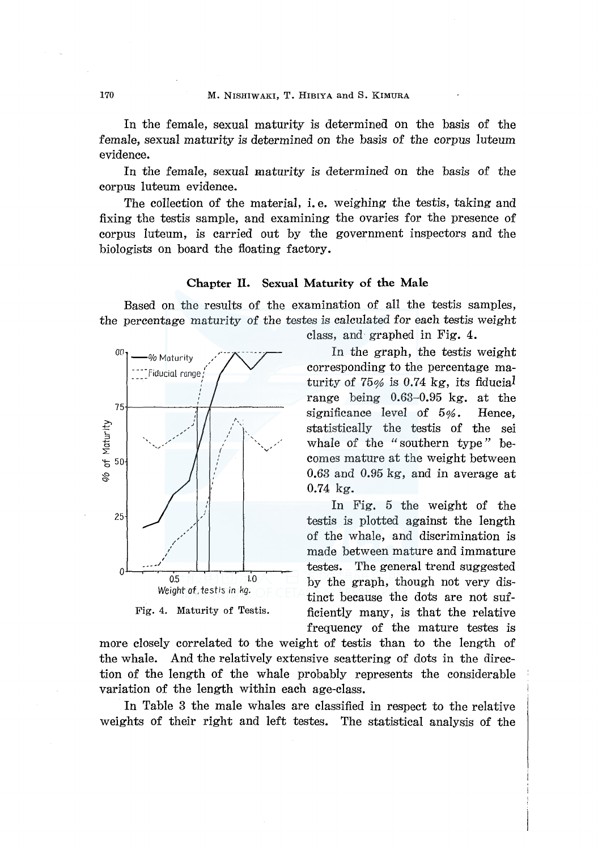In the female, sexual maturity is determined on the basis of the female, sexual maturity is determined on the basis of the corpus luteum evidence.

In the female, sexual maturity is determined on the basis of the corpus luteum evidence.

The collection of the material, i. e. weighing the testis, taking and fixing the testis sample, and examining the ovaries for the presence of corpus luteum, is carried out by the government inspectors and the biologists on board the floating factory.

## **Chapter II. Sexual Maturity of the Male**

Based on the results of the examination of all the testis samples, the percentage maturity of the testes is calculated for each testis weight



Fig. 4. Maturity of Testis.

class, and graphed in Fig. 4.

In the graph, the testis weight corresponding to the percentage maturity of 75% is 0.74 kg, its fiducial range being 0.63-0.95 kg. at the significance level of 5%. Hence, statistically the testis of the sei whale of the "southern type" becomes mature at the weight between 0.63 and 0.95 kg, and in average at 0.74 kg.

In Fig. 5 the weight of the testis is plotted against the length of the whale, and discrimination is made between mature and immature testes. The general trend suggested by the graph, though not very distinct because the dots are not sufficiently many, is that the relative frequency of the mature testes is

more closely correlated to the weight of testis than to the length of the whale. And the relatively extensive scattering of dots in the direction of the length of the whale probably represents the considerable variation of the length within each age-class.

In Table 3 the male whales are classified in respect to the relative weights of their right and left testes. The statistical analysis of the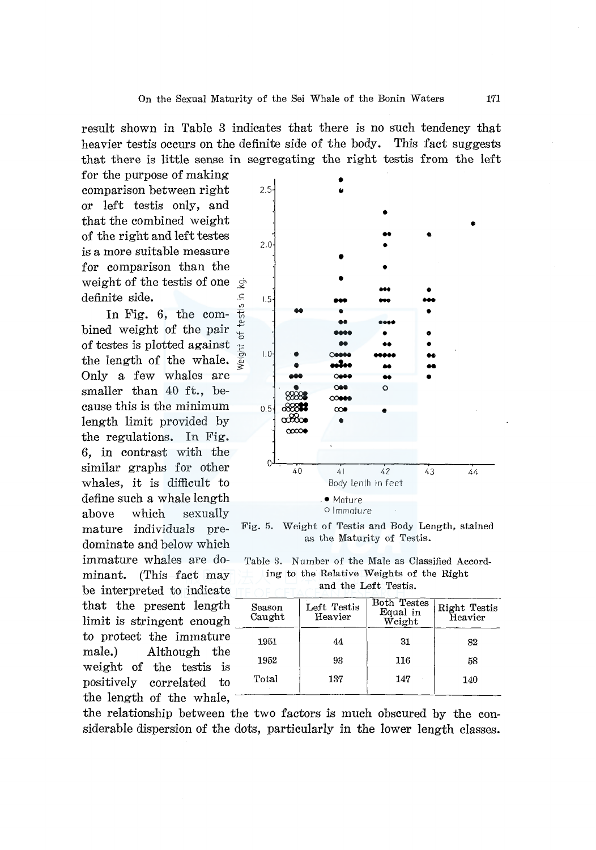result shown in Table 3 indicates that there is no such tendency that heavier testis occurs on the definite side of the body. This fact suggests that there is little sense in segregating the right testis from the left

for the purpose of making comparison between right or left testis only, and that the combined weight of the right and left testes is a more suitable measure for comparison than the weight of the test is of one  $\phi$ definite side.  $\blacksquare$ 

testis In Fig.  $6$ , the combined weight of the pair of testes is plotted against the length of the whale. Only a few whales are smaller than 40 ft., because this is the minimum length limit provided by the regulations. In Fig. 6, in contrast with the similar graphs for other whales, it is difficult to define such a whale length above which sexually mature individuals predominate and below which immature whales are dominant. (This fact may be interpreted to indicate that the present length limit is stringent enough to protect the immature male.) Although the weight of the testis is positively correlated to the length of the whale,  $\overline{\phantom{a}}$ 



Fig. 5. Weight of Testis and Body Length, stained as the Maturity of Testis.

Table 3. Number of the Male as Classified According to the Relative Weights of the Right and the Left Testis.

| Season<br>Caught | Left Testis<br>Heavier | <b>Both Testes</b><br>Equal in<br>Weight | Right Testis<br>Heavier |  |
|------------------|------------------------|------------------------------------------|-------------------------|--|
| 1951             | 44                     | 31                                       | 82                      |  |
| 1952             | 93                     | 116                                      | 58                      |  |
| Total            | 137                    | 147                                      | 140                     |  |

the relationship between the two factors is much obscured by the considerable dispersion of the dots, particularly in the lower length classes.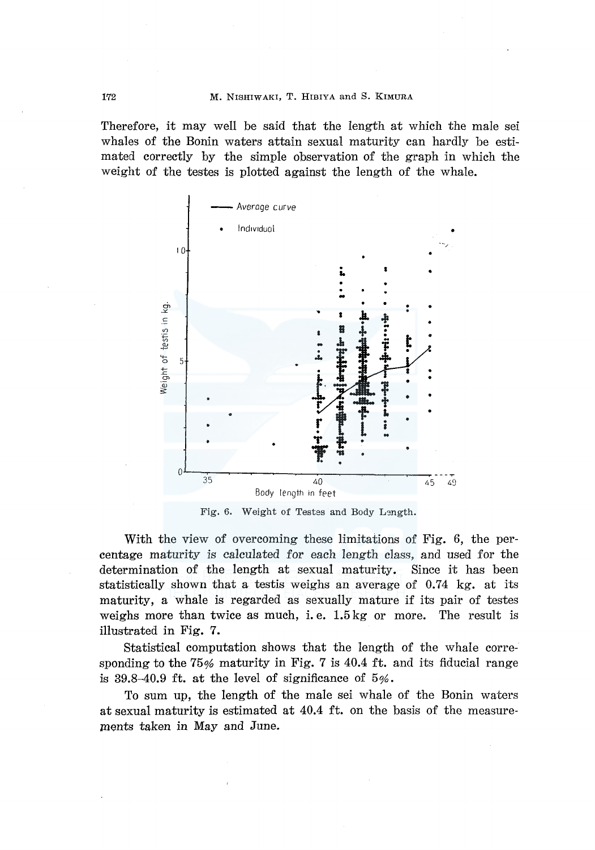Therefore, it may well be said that the length at which the male sei whales of the Bonin waters attain sexual maturity can hardly be estimated correctly by the simple observation of the graph in which the weight of the testes is plotted against the length of the whale.



Fig. 6. Weight of Testes and Body Length.

With the view of overcoming these limitations of Fig. 6, the percentage maturity is calculated for each length class, and used for the determination of the length at sexual maturity. Since it has been statistically shown that a testis weighs an average of  $0.74 \text{ kg}$ , at its maturity, a whale is regarded as sexually mature if its pair of testes weighs more than twice as much, i.e.  $1.5 \text{ kg}$  or more. The result is illustrated in Fig. 7.

Statistical computation shows that the length of the whale corresponding to the  $75\%$  maturity in Fig. 7 is 40.4 ft. and its fiducial range is 39.8–40.9 ft. at the level of significance of  $5\%$ .

To sum up, the length of the male sei whale of the Bonin waters at sexual maturity is estimated at 40.4 ft. on the basis of the measurements taken in May and June.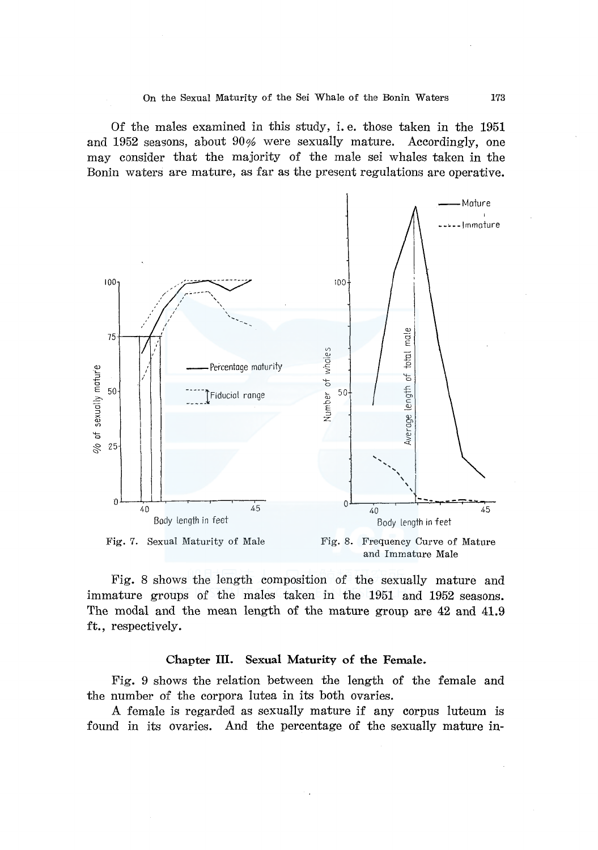Of the males examined in this study, i. e. those taken in the 1951 and 1952 seasons, about 90% were sexually mature. Accordingly, one may consider that the majority of the male sei whales taken in the Bonin waters are mature, as far as the present regulations are operative.



and Immature Male

Fig. 8 shows the length composition of the sexually mature and immature groups of the males taken in the 1951 and 1952 seasons. The modal and the mean length of the mature group are 42 and 41.9 ft., respectively.

## Chapter III. Sexual Maturity of the Female.

Fig. 9 shows the relation between the length of the female and the number of the corpora lutea in its both ovaries.

A female is regarded as sexually mature if any corpus luteum is found in its ovaries. And the percentage of the sexually mature in-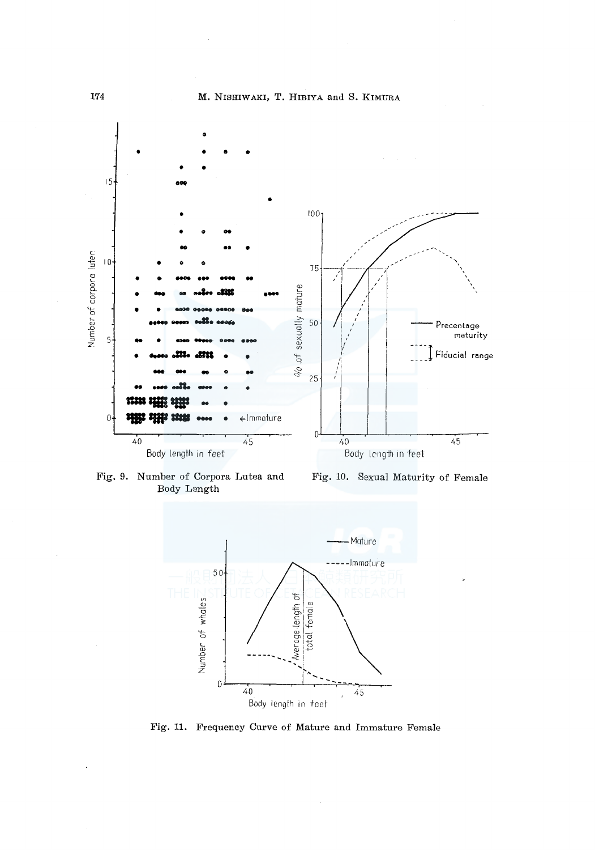



Fig. 9. Number of Corpora Lutea and Fig. 10. Sexual Maturity of Female Body Length



Fig. **11.** Frequency Curve of Mature and Immature Female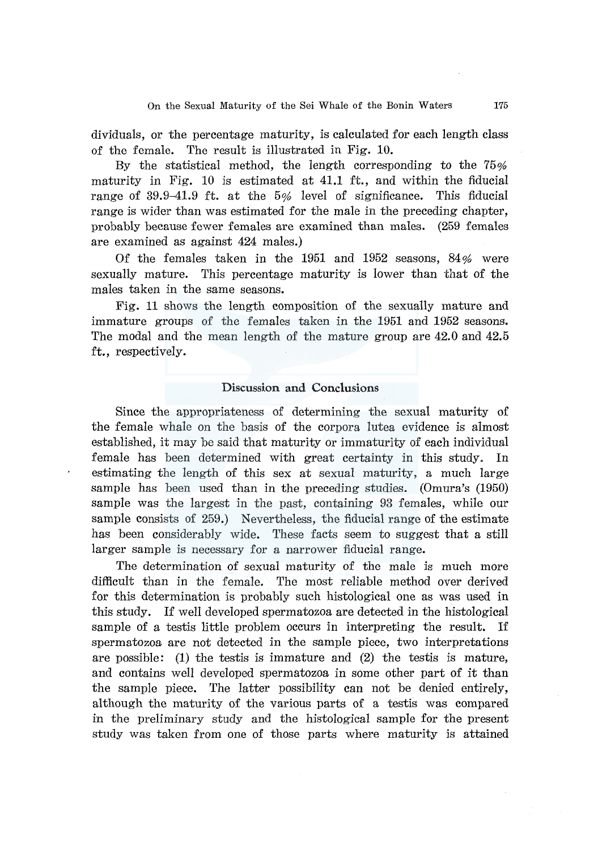dividuals, or the percentage maturity, is calculated for each length class of the female. The result is illustrated in Fig. 10.

By the statistical method, the length corresponding to the 75% maturity in Fig. 10 is estimated at 41.1 ft., and within the fiducial range of 39.9-41.9 ft. at the 5% level of significance. This fiducial range is wider than was estimated for the male in the preceding chapter, probably because fewer females are examined than males. (259 females are examined as against 424 males.)

Of the females taken in the 1951 and 1952 seasons, 84% were sexually mature. This percentage maturity is lower than that of the males taken in the same seasons.

Fig. 11 shows the length composition of the sexually mature and immature groups of the females taken in the 1951 and 1952 seasons. The modal and the mean length of the mature group are 42.0 and 42.5 ft., respectively.

## Discussion **and** Conclusions

Since the appropriateness of determining the sexual maturity of the female whale on the basis of the corpora lutea evidence is almost established, it may be said that maturity or immaturity of each individual female has been determined with great certainty in this study. In estimating the length of this sex at sexual maturity, a much large sample has been used than in the preceding studies. (Omura's (1950) sample was the largest in the past, containing 93 females, while our sample consists of 259.) Nevertheless, the fiducial range of the estimate has been considerably wide. These facts seem to suggest that a still larger sample is necessary for a narrower fiducial range.

The determination of sexual maturity of the male is much more difficult than in the female. The most reliable method over derived for this determination is probably such histological one as was used in this study. If well developed spermatozoa are detected in the histological sample of a testis little problem occurs in interpreting the result. If spermatozoa are not detected in the sample piece, two interpretations are possible: (1) the testis is immature and (2) the testis is mature, and contains well developed spermatozoa in some other part of it than the sample piece. The latter possibility can not be denied entirely, although the maturity of the various parts of a testis was compared in the preliminary study and the histological sample for the present study was taken from one of those parts where maturity is attained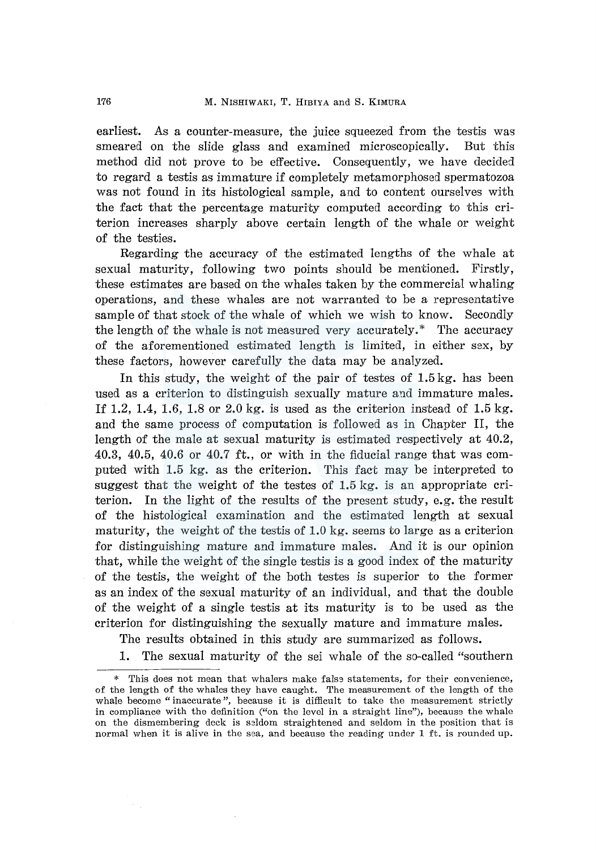earliest. As a counter-measure, the juice squeezed from the testis was smeared on the slide glass and examined microscopically. But this method did not prove to be effective. Consequently, we have decided to regard a testis as immature if completely metamorphosed spermatozoa was not found in its histological sample, and to content ourselves with the fact that the percentage maturity computed according to this criterion increases sharply above certain length of the whale or weight of the testies.

Regarding the accuracy of the estimated lengths of the whale at sexual maturity, following two points should be mentioned. Firstly, these estimates are based on the whales taken by the commercial whaling operations, and these whales are not warranted to be a representative sample of that stock of the whale of which we wish to know. Secondly the length of the whale is not measured very accurately.\* The accuracy of the aforementioned estimated length is limited, in either sex, by these factors, however carefully the data may be analyzed.

In this study, the weight of the pair of testes of 1.5 kg, has been used as a criterion to distinguish sexually mature and immature males. If 1.2, 1.4, 1.6, 1.8 or 2.0 kg. is used as the criterion instead of 1.5 kg. and the same process of computation is followed as in Chapter II, the length of the male at sexual maturity is estimated respectively at 40.2, 40.3, 40.5, 40.6 or 40.7 ft., or with in the fiducial range that was computed with 1.5 kg. as the criterion. This fact may be interpreted to suggest that the weight of the testes of 1.5 kg. is an appropriate criterion. In the light of the results of the present study, e.g. the result of the histological examination and the estimated length at sexual maturity, the weight of the testis of 1.0 kg. seems to large as a criterion for distinguishing mature and immature males. And it is our opinion that, while the weight of the single testis is a good index of the maturity of the testis, the weight of the both testes is superior to the former as an index of the sexual maturity of an individual, and that the double of the weight of a single testis at its maturity is to be used as the criterion for distinguishing the sexually mature and immature males.

The results obtained in this study are summarized as follows.

1. The sexual maturity of the sei whale of the so-called "southern

This does not mean that whalers make false statements, for their convenience, of the length of the whales they have caught. The measurement of the length of the whale become "inaccurate", because it is difficult to take the measurement strictly in compliance with the definition ("on the level in a straight line"), because the whale on the dismembering deck is seldom straightened and seldom in the position that is normal when it is alive in the sea, and because the reading under I ft. is rounded up.